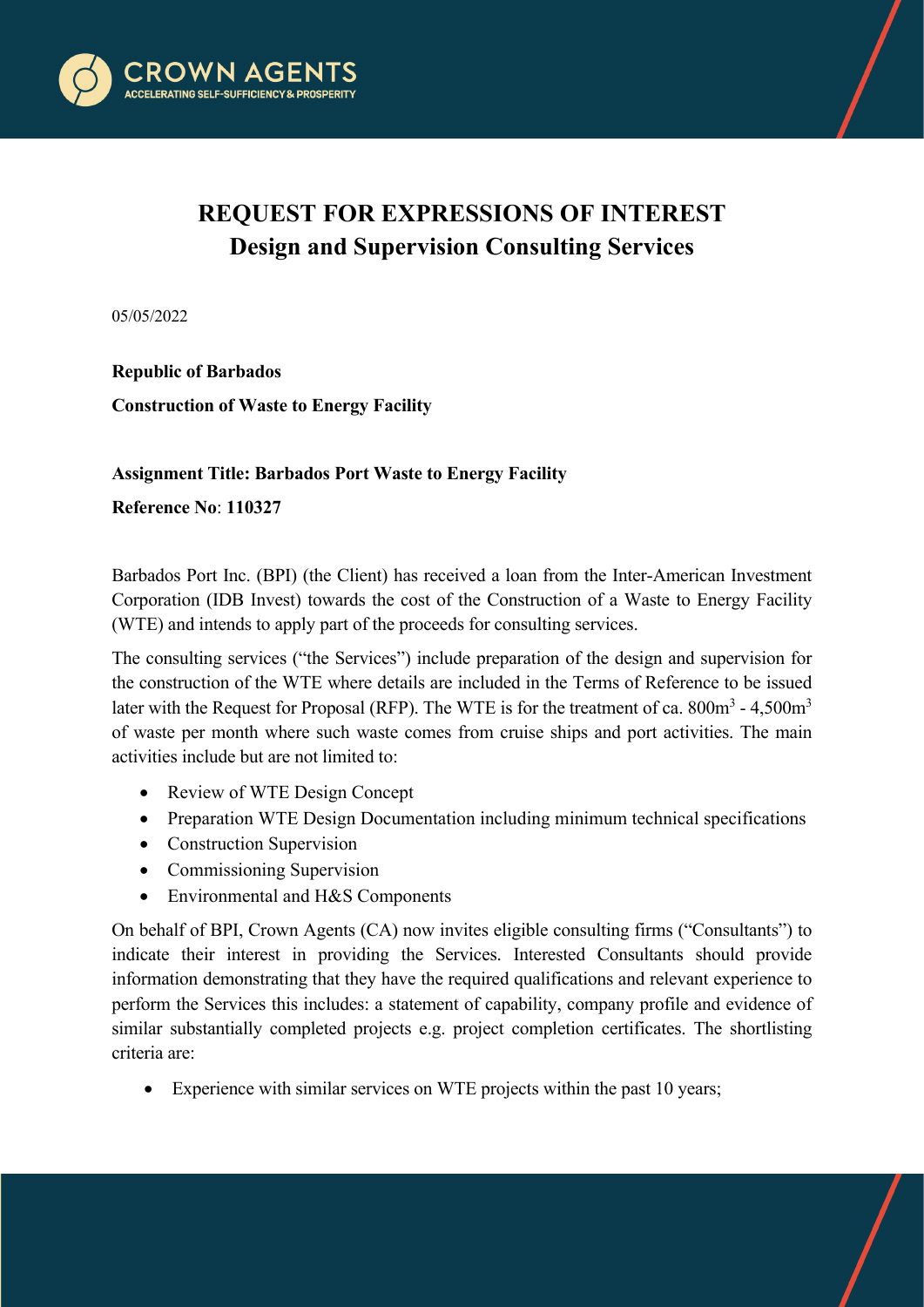

## **REQUEST FOR EXPRESSIONS OF INTEREST Design and Supervision Consulting Services**

05/05/2022

**Republic of Barbados Construction of Waste to Energy Facility**

## **Assignment Title: Barbados Port Waste to Energy Facility**

**Reference No**: **110327**

Barbados Port Inc. (BPI) (the Client) has received a loan from the Inter-American Investment Corporation (IDB Invest) towards the cost of the Construction of a Waste to Energy Facility (WTE) and intends to apply part of the proceeds for consulting services.

The consulting services ("the Services") include preparation of the design and supervision for the construction of the WTE where details are included in the Terms of Reference to be issued later with the Request for Proposal (RFP). The WTE is for the treatment of ca.  $800m^3 - 4.500m^3$ of waste per month where such waste comes from cruise ships and port activities. The main activities include but are not limited to:

- Review of WTE Design Concept
- Preparation WTE Design Documentation including minimum technical specifications
- Construction Supervision
- Commissioning Supervision
- Environmental and H&S Components

On behalf of BPI, Crown Agents (CA) now invites eligible consulting firms ("Consultants") to indicate their interest in providing the Services. Interested Consultants should provide information demonstrating that they have the required qualifications and relevant experience to perform the Services this includes: a statement of capability, company profile and evidence of similar substantially completed projects e.g. project completion certificates. The shortlisting criteria are:

Experience with similar services on WTE projects within the past 10 years;